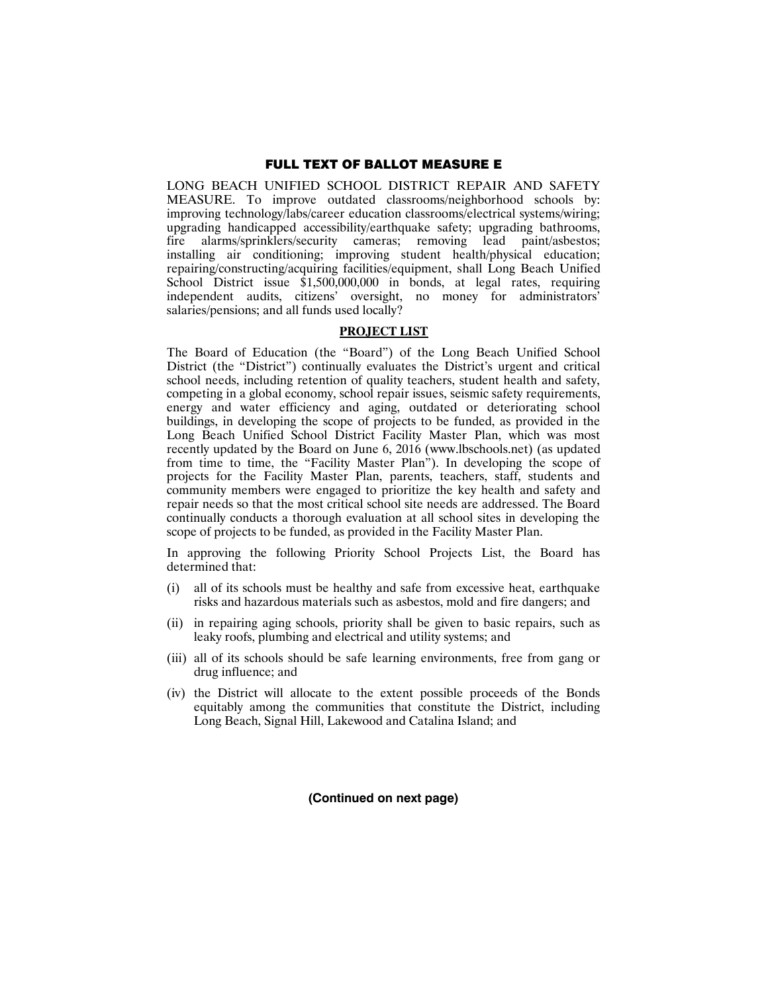## FULL TEXT OF BALLOT MEASURE E

LONG BEACH UNIFIED SCHOOL DISTRICT REPAIR AND SAFETY MEASURE. To improve outdated classrooms/neighborhood schools by: improving technology/labs/career education classrooms/electrical systems/wiring; upgrading handicapped accessibility/earthquake safety; upgrading bathrooms, fire alarms/sprinklers/security cameras; removing lead paint/asbestos; installing air conditioning; improving student health/physical education; repairing/constructing/acquiring facilities/equipment, shall Long Beach Unified School District issue \$1,500,000,000 in bonds, at legal rates, requiring independent audits, citizens' oversight, no money for administrators' salaries/pensions; and all funds used locally?

#### **PROJECT LIST**

The Board of Education (the "Board") of the Long Beach Unified School District (the "District") continually evaluates the District's urgent and critical school needs, including retention of quality teachers, student health and safety, competing in a global economy, school repair issues, seismic safety requirements, energy and water efficiency and aging, outdated or deteriorating school buildings, in developing the scope of projects to be funded, as provided in the Long Beach Unified School District Facility Master Plan, which was most recently updated by the Board on June 6, 2016 (www.lbschools.net) (as updated from time to time, the "Facility Master Plan"). In developing the scope of projects for the Facility Master Plan, parents, teachers, staff, students and community members were engaged to prioritize the key health and safety and repair needs so that the most critical school site needs are addressed. The Board continually conducts a thorough evaluation at all school sites in developing the scope of projects to be funded, as provided in the Facility Master Plan.

In approving the following Priority School Projects List, the Board has determined that:

- (i) all of its schools must be healthy and safe from excessive heat, earthquake risks and hazardous materials such as asbestos, mold and fire dangers; and
- (ii) in repairing aging schools, priority shall be given to basic repairs, such as leaky roofs, plumbing and electrical and utility systems; and
- (iii) all of its schools should be safe learning environments, free from gang or drug influence; and
- (iv) the District will allocate to the extent possible proceeds of the Bonds equitably among the communities that constitute the District, including Long Beach, Signal Hill, Lakewood and Catalina Island; and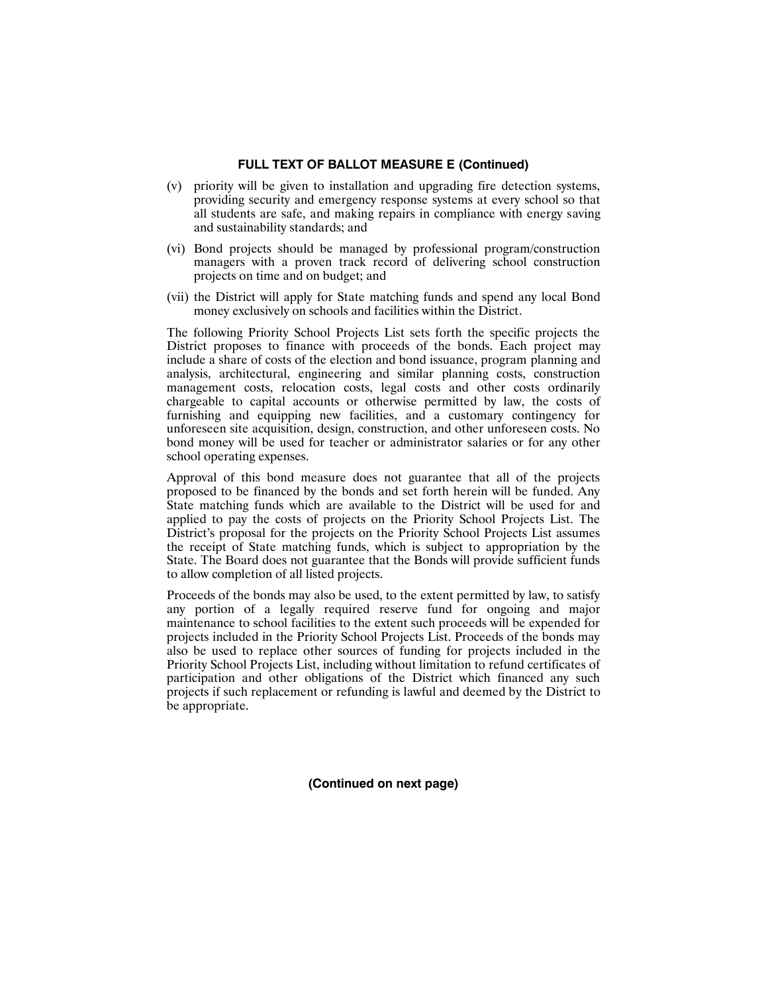- (v) priority will be given to installation and upgrading fire detection systems, providing security and emergency response systems at every school so that all students are safe, and making repairs in compliance with energy saving and sustainability standards; and
- (vi) Bond projects should be managed by professional program/construction managers with a proven track record of delivering school construction projects on time and on budget; and
- (vii) the District will apply for State matching funds and spend any local Bond money exclusively on schools and facilities within the District.

The following Priority School Projects List sets forth the specific projects the District proposes to finance with proceeds of the bonds. Each project may include a share of costs of the election and bond issuance, program planning and analysis, architectural, engineering and similar planning costs, construction management costs, relocation costs, legal costs and other costs ordinarily chargeable to capital accounts or otherwise permitted by law, the costs of furnishing and equipping new facilities, and a customary contingency for unforeseen site acquisition, design, construction, and other unforeseen costs. No bond money will be used for teacher or administrator salaries or for any other school operating expenses.

Approval of this bond measure does not guarantee that all of the projects proposed to be financed by the bonds and set forth herein will be funded. Any State matching funds which are available to the District will be used for and applied to pay the costs of projects on the Priority School Projects List. The District's proposal for the projects on the Priority School Projects List assumes the receipt of State matching funds, which is subject to appropriation by the State. The Board does not guarantee that the Bonds will provide sufficient funds to allow completion of all listed projects.

Proceeds of the bonds may also be used, to the extent permitted by law, to satisfy any portion of a legally required reserve fund for ongoing and major maintenance to school facilities to the extent such proceeds will be expended for projects included in the Priority School Projects List. Proceeds of the bonds may also be used to replace other sources of funding for projects included in the Priority School Projects List, including without limitation to refund certificates of participation and other obligations of the District which financed any such projects if such replacement or refunding is lawful and deemed by the District to be appropriate.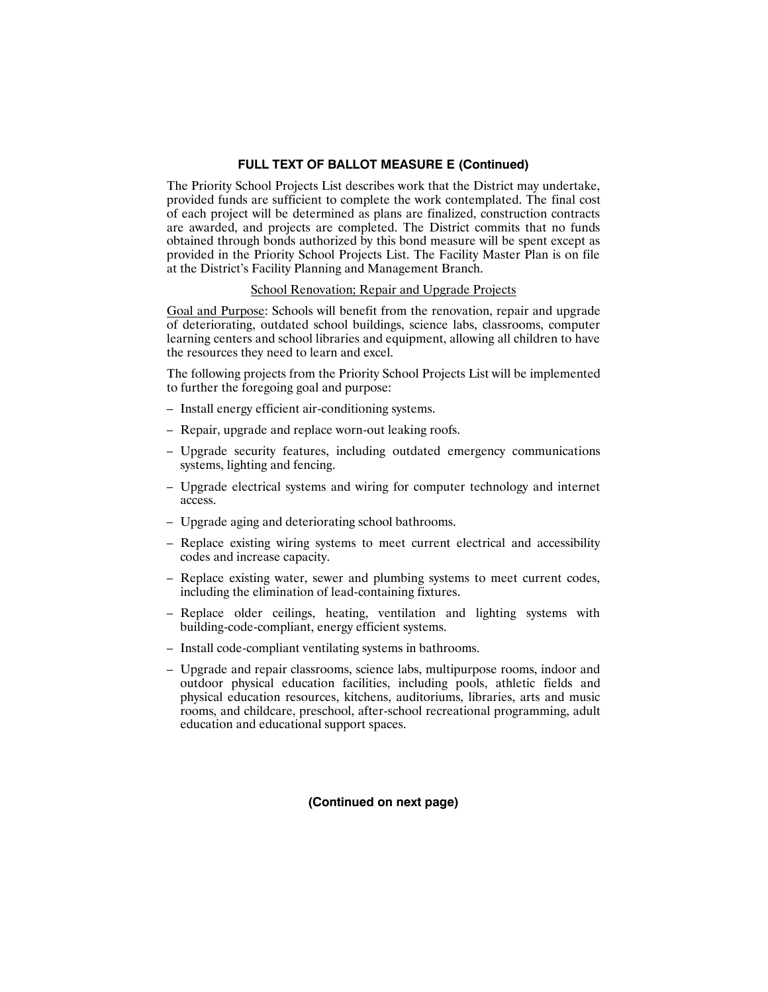The Priority School Projects List describes work that the District may undertake, provided funds are sufficient to complete the work contemplated. The final cost of each project will be determined as plans are finalized, construction contracts are awarded, and projects are completed. The District commits that no funds obtained through bonds authorized by this bond measure will be spent except as provided in the Priority School Projects List. The Facility Master Plan is on file at the District's Facility Planning and Management Branch.

## School Renovation; Repair and Upgrade Projects

Goal and Purpose: Schools will benefit from the renovation, repair and upgrade of deteriorating, outdated school buildings, science labs, classrooms, computer learning centers and school libraries and equipment, allowing all children to have the resources they need to learn and excel.

The following projects from the Priority School Projects List will be implemented to further the foregoing goal and purpose:

- Install energy efficient air-conditioning systems.
- Repair, upgrade and replace worn-out leaking roofs.
- Upgrade security features, including outdated emergency communications systems, lighting and fencing.
- Upgrade electrical systems and wiring for computer technology and internet access.
- Upgrade aging and deteriorating school bathrooms.
- Replace existing wiring systems to meet current electrical and accessibility codes and increase capacity.
- Replace existing water, sewer and plumbing systems to meet current codes, including the elimination of lead-containing fixtures.
- Replace older ceilings, heating, ventilation and lighting systems with building-code-compliant, energy efficient systems.
- Install code-compliant ventilating systems in bathrooms.
- Upgrade and repair classrooms, science labs, multipurpose rooms, indoor and outdoor physical education facilities, including pools, athletic fields and physical education resources, kitchens, auditoriums, libraries, arts and music rooms, and childcare, preschool, after-school recreational programming, adult education and educational support spaces.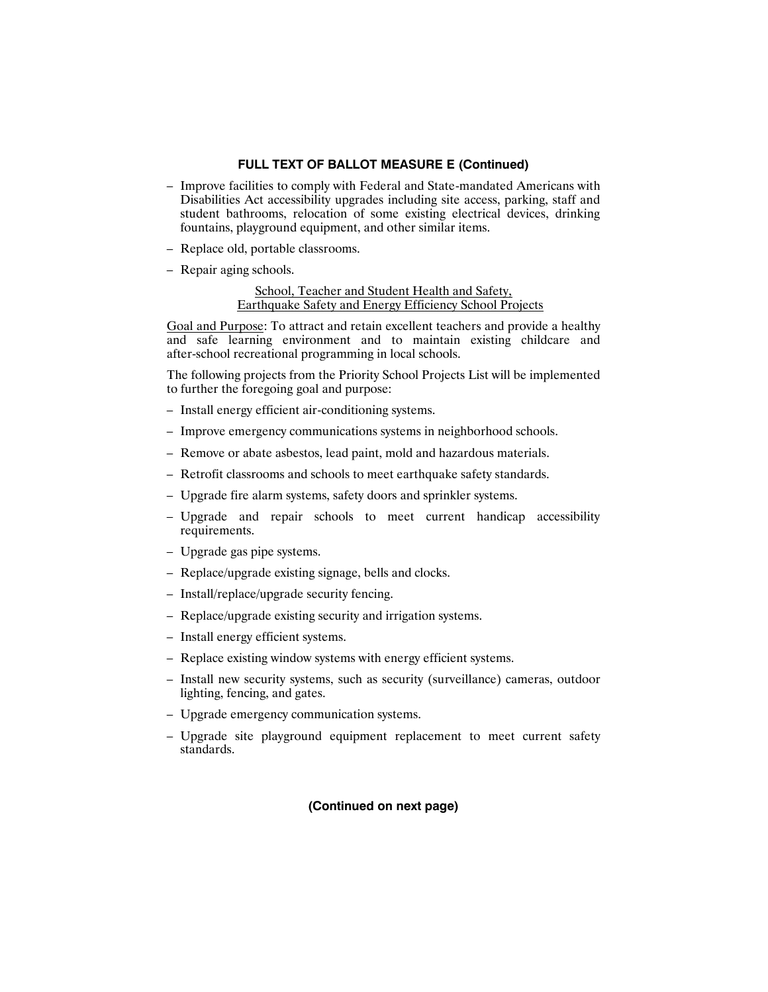- Improve facilities to comply with Federal and State-mandated Americans with Disabilities Act accessibility upgrades including site access, parking, staff and student bathrooms, relocation of some existing electrical devices, drinking fountains, playground equipment, and other similar items.
- Replace old, portable classrooms.
- Repair aging schools.

School, Teacher and Student Health and Safety, Earthquake Safety and Energy Efficiency School Projects

Goal and Purpose: To attract and retain excellent teachers and provide a healthy and safe learning environment and to maintain existing childcare and after-school recreational programming in local schools.

The following projects from the Priority School Projects List will be implemented to further the foregoing goal and purpose:

- Install energy efficient air-conditioning systems.
- Improve emergency communications systems in neighborhood schools.
- Remove or abate asbestos, lead paint, mold and hazardous materials.
- Retrofit classrooms and schools to meet earthquake safety standards.
- Upgrade fire alarm systems, safety doors and sprinkler systems.
- Upgrade and repair schools to meet current handicap accessibility requirements.
- Upgrade gas pipe systems.
- Replace/upgrade existing signage, bells and clocks.
- Install/replace/upgrade security fencing.
- Replace/upgrade existing security and irrigation systems.
- Install energy efficient systems.
- Replace existing window systems with energy efficient systems.
- Install new security systems, such as security (surveillance) cameras, outdoor lighting, fencing, and gates.
- Upgrade emergency communication systems.
- Upgrade site playground equipment replacement to meet current safety standards.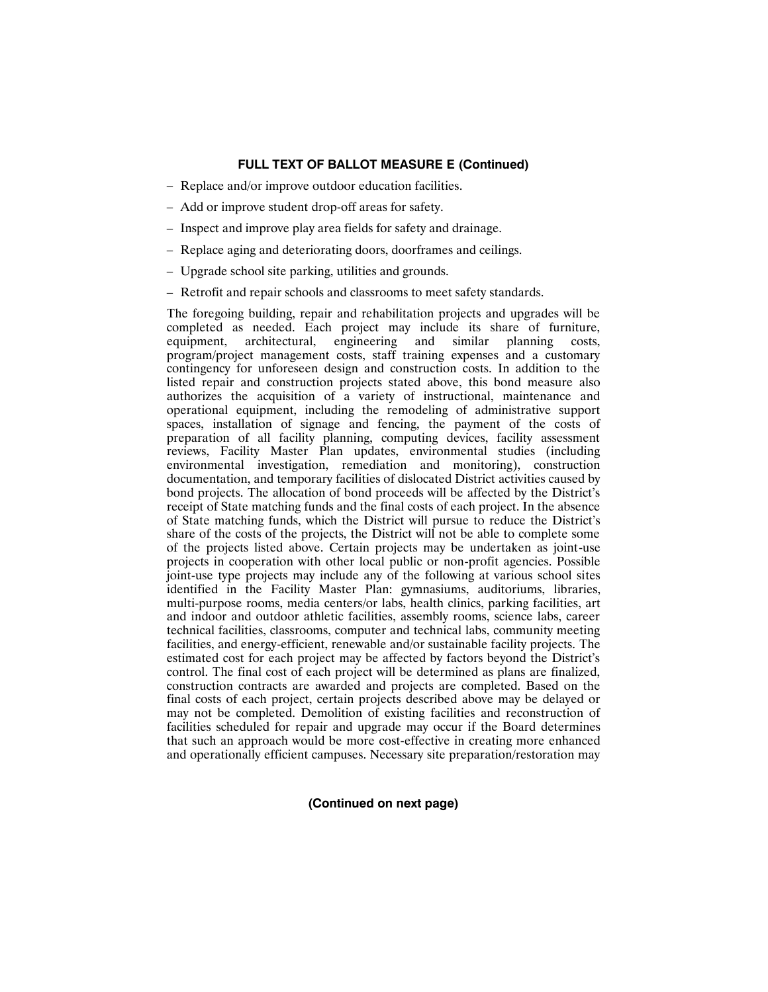- Replace and/or improve outdoor education facilities.
- Add or improve student drop-off areas for safety.
- Inspect and improve play area fields for safety and drainage.
- Replace aging and deteriorating doors, doorframes and ceilings.
- Upgrade school site parking, utilities and grounds.
- Retrofit and repair schools and classrooms to meet safety standards.

The foregoing building, repair and rehabilitation projects and upgrades will be completed as needed. Each project may include its share of furniture, equipment, architectural, engineering and similar planning costs, program/project management costs, staff training expenses and a customary contingency for unforeseen design and construction costs. In addition to the listed repair and construction projects stated above, this bond measure also authorizes the acquisition of a variety of instructional, maintenance and operational equipment, including the remodeling of administrative support spaces, installation of signage and fencing, the payment of the costs of preparation of all facility planning, computing devices, facility assessment reviews, Facility Master Plan updates, environmental studies (including environmental investigation, remediation and monitoring), construction documentation, and temporary facilities of dislocated District activities caused by bond projects. The allocation of bond proceeds will be affected by the District's receipt of State matching funds and the final costs of each project. In the absence of State matching funds, which the District will pursue to reduce the District's share of the costs of the projects, the District will not be able to complete some of the projects listed above. Certain projects may be undertaken as joint-use projects in cooperation with other local public or non-profit agencies. Possible joint-use type projects may include any of the following at various school sites identified in the Facility Master Plan: gymnasiums, auditoriums, libraries, multi-purpose rooms, media centers/or labs, health clinics, parking facilities, art and indoor and outdoor athletic facilities, assembly rooms, science labs, career technical facilities, classrooms, computer and technical labs, community meeting facilities, and energy-efficient, renewable and/or sustainable facility projects. The estimated cost for each project may be affected by factors beyond the District's control. The final cost of each project will be determined as plans are finalized, construction contracts are awarded and projects are completed. Based on the final costs of each project, certain projects described above may be delayed or may not be completed. Demolition of existing facilities and reconstruction of facilities scheduled for repair and upgrade may occur if the Board determines that such an approach would be more cost-effective in creating more enhanced and operationally efficient campuses. Necessary site preparation/restoration may